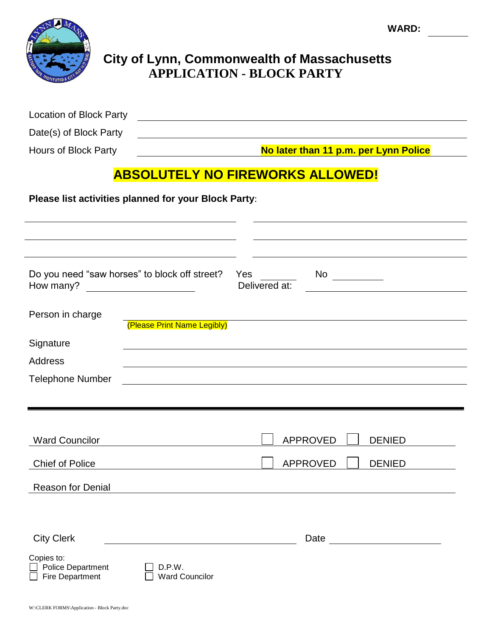**WARD:**



## **City of Lynn, Commonwealth of Massachusetts APPLICATION - BLOCK PARTY**

| Location of Block Party |  |
|-------------------------|--|
| Date(s) of Block Party  |  |

Hours of Block Party **No later than 11 p.m. per Lynn Police**

# **ABSOLUTELY NO FIREWORKS ALLOWED!**

**Please list activities planned for your Block Party**:

| Do you need "saw horses" to block off street?<br>How many? | <u> 1989 - Johann Barbara, martxa eta politikar</u> | Yes<br>Delivered at: | No                               |  |
|------------------------------------------------------------|-----------------------------------------------------|----------------------|----------------------------------|--|
| Person in charge                                           | (Please Print Name Legibly)                         |                      |                                  |  |
| Signature                                                  |                                                     |                      |                                  |  |
| <b>Address</b>                                             |                                                     |                      |                                  |  |
| <b>Telephone Number</b>                                    |                                                     |                      |                                  |  |
|                                                            |                                                     |                      |                                  |  |
|                                                            |                                                     |                      |                                  |  |
| <b>Ward Councilor</b>                                      |                                                     |                      | <b>APPROVED</b><br><b>DENIED</b> |  |
| <b>Chief of Police</b>                                     |                                                     |                      | <b>APPROVED</b><br><b>DENIED</b> |  |
| <b>Reason for Denial</b>                                   |                                                     |                      |                                  |  |
|                                                            |                                                     |                      |                                  |  |
|                                                            |                                                     |                      |                                  |  |
| <b>City Clerk</b>                                          |                                                     |                      | Date <u>______________</u>       |  |
| Copies to:<br>Police Department<br><b>Fire Department</b>  | D.P.W.<br><b>Ward Councilor</b>                     |                      |                                  |  |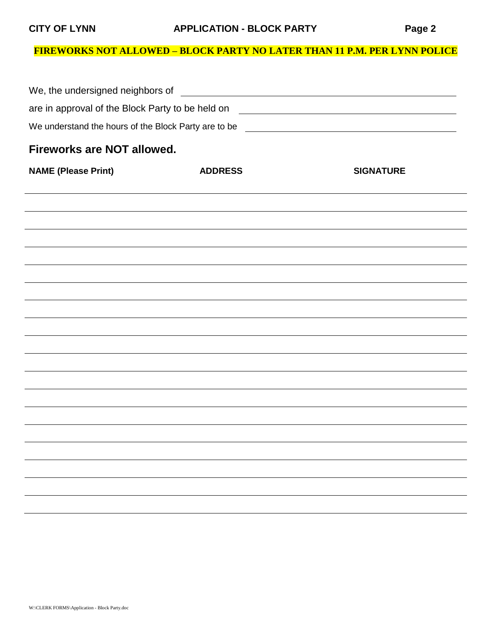### **FIREWORKS NOT ALLOWED – BLOCK PARTY NO LATER THAN 11 P.M. PER LYNN POLICE**

| are in approval of the Block Party to be held on                                 |                                                                                  | <u> 1980 - Johann Stoff, deutscher Stoffen und der Stoffen und der Stoffen und der Stoffen und der Stoffen und der Stoffen und der Stoffen und der Stoffen und der Stoffen und der Stoffen und der Stoffen und der Stoffen und d</u> |  |  |  |  |  |
|----------------------------------------------------------------------------------|----------------------------------------------------------------------------------|--------------------------------------------------------------------------------------------------------------------------------------------------------------------------------------------------------------------------------------|--|--|--|--|--|
| We understand the hours of the Block Party are to be ___________________________ |                                                                                  |                                                                                                                                                                                                                                      |  |  |  |  |  |
| <b>Fireworks are NOT allowed.</b>                                                |                                                                                  |                                                                                                                                                                                                                                      |  |  |  |  |  |
| <b>NAME (Please Print)</b>                                                       | <b>ADDRESS</b>                                                                   | <b>SIGNATURE</b>                                                                                                                                                                                                                     |  |  |  |  |  |
|                                                                                  |                                                                                  |                                                                                                                                                                                                                                      |  |  |  |  |  |
|                                                                                  |                                                                                  |                                                                                                                                                                                                                                      |  |  |  |  |  |
|                                                                                  |                                                                                  |                                                                                                                                                                                                                                      |  |  |  |  |  |
|                                                                                  | ,我们也不会有什么。""我们的人,我们也不会有什么?""我们的人,我们也不会有什么?""我们的人,我们也不会有什么?""我们的人,我们也不会有什么?""我们的人 |                                                                                                                                                                                                                                      |  |  |  |  |  |
|                                                                                  |                                                                                  |                                                                                                                                                                                                                                      |  |  |  |  |  |
|                                                                                  |                                                                                  |                                                                                                                                                                                                                                      |  |  |  |  |  |
|                                                                                  |                                                                                  |                                                                                                                                                                                                                                      |  |  |  |  |  |
|                                                                                  |                                                                                  |                                                                                                                                                                                                                                      |  |  |  |  |  |
|                                                                                  |                                                                                  |                                                                                                                                                                                                                                      |  |  |  |  |  |
|                                                                                  |                                                                                  |                                                                                                                                                                                                                                      |  |  |  |  |  |
|                                                                                  |                                                                                  |                                                                                                                                                                                                                                      |  |  |  |  |  |
|                                                                                  |                                                                                  |                                                                                                                                                                                                                                      |  |  |  |  |  |
|                                                                                  |                                                                                  |                                                                                                                                                                                                                                      |  |  |  |  |  |
|                                                                                  |                                                                                  |                                                                                                                                                                                                                                      |  |  |  |  |  |
|                                                                                  |                                                                                  |                                                                                                                                                                                                                                      |  |  |  |  |  |
|                                                                                  |                                                                                  |                                                                                                                                                                                                                                      |  |  |  |  |  |
|                                                                                  |                                                                                  |                                                                                                                                                                                                                                      |  |  |  |  |  |
|                                                                                  |                                                                                  |                                                                                                                                                                                                                                      |  |  |  |  |  |